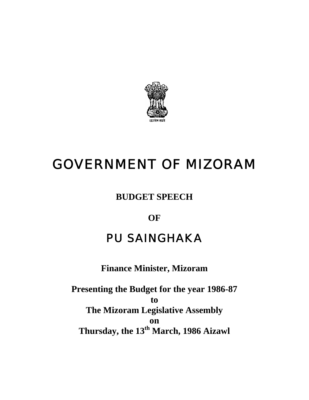

# GOVERNMENT OF MIZORAM

**BUDGET SPEECH** 

**OF** 

# PU SAINGHAKA

**Finance Minister, Mizoram** 

**Presenting the Budget for the year 1986-87 to The Mizoram Legislative Assembly on Thursday, the 13th March, 1986 Aizawl**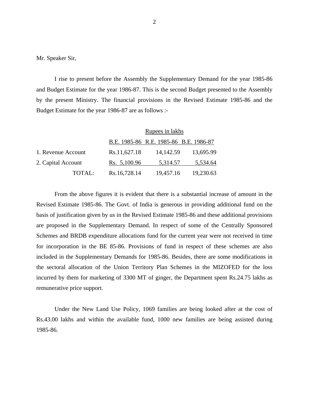Mr. Speaker Sir,

 I rise to present before the Assembly the Supplementary Demand for the year 1985-86 and Budget Estimate for the year 1986-87. This is the second Budget presented to the Assembly by the present Ministry. The financial provisions in the Revised Estimate 1985-86 and the Budget Estimate for the year 1986-87 are as follows :-

|                    |        |              | Rupees in lakhs                        |           |
|--------------------|--------|--------------|----------------------------------------|-----------|
|                    |        |              | B.E. 1985-86 R.E. 1985-86 B.E. 1986-87 |           |
| 1. Revenue Account |        | Rs.11,627.18 | 14, 142.59                             | 13,695.99 |
| 2. Capital Account |        | Rs. 5,100.96 | 5,314.57                               | 5,534.64  |
|                    | TOTAL: | Rs.16,728.14 | 19,457.16                              | 19,230.63 |

 From the above figures it is evident that there is a substantial increase of amount in the Revised Estimate 1985-86. The Govt. of India is generous in providing additional fund on the basis of justification given by us in the Revised Estimate 1985-86 and these additional provisions are proposed in the Supplementary Demand. In respect of some of the Centrally Sponsored Schemes and BRDB expenditure allocations fund for the current year were not received in time for incorporation in the BE 85-86. Provisions of fund in respect of these schemes are also included in the Supplementary Demands for 1985-86. Besides, there are some modifications in the sectoral allocation of the Union Territory Plan Schemes in the MIZOFED for the loss incurred by them for marketing of 3300 MT of ginger, the Department spent Rs.24.75 lakhs as remunerative price support.

Under the New Land Use Policy, 1069 families are being looked after at the cost of Rs.43.00 lakhs and within the available fund, 1000 new families are being assisted during 1985-86.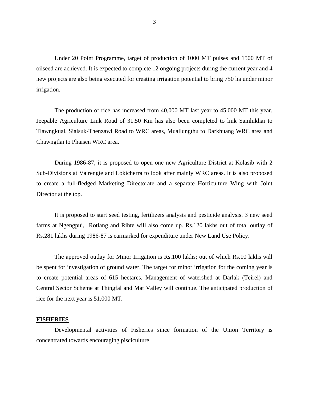Under 20 Point Programme, target of production of 1000 MT pulses and 1500 MT of oilseed are achieved. It is expected to complete 12 ongoing projects during the current year and 4 new projects are also being executed for creating irrigation potential to bring 750 ha under minor irrigation.

The production of rice has increased from 40,000 MT last year to 45,000 MT this year. Jeepable Agriculture Link Road of 31.50 Km has also been completed to link Samlukhai to Tlawngkual, Sialsuk-Thenzawl Road to WRC areas, Muallungthu to Darkhuang WRC area and Chawngtlai to Phaisen WRC area.

During 1986-87, it is proposed to open one new Agriculture District at Kolasib with 2 Sub-Divisions at Vairengte and Lokicherra to look after mainly WRC areas. It is also proposed to create a full-fledged Marketing Directorate and a separate Horticulture Wing with Joint Director at the top.

It is proposed to start seed testing, fertilizers analysis and pesticide analysis. 3 new seed farms at Ngengpui, Rotlang and Rihte will also come up. Rs.120 lakhs out of total outlay of Rs.281 lakhs during 1986-87 is earmarked for expenditure under New Land Use Policy.

The approved outlay for Minor Irrigation is Rs.100 lakhs; out of which Rs.10 lakhs will be spent for investigation of ground water. The target for minor irrigation for the coming year is to create potential areas of 615 hectares. Management of watershed at Darlak (Teirei) and Central Sector Scheme at Thingfal and Mat Valley will continue. The anticipated production of rice for the next year is 51,000 MT.

#### **FISHERIES**

 Developmental activities of Fisheries since formation of the Union Territory is concentrated towards encouraging pisciculture.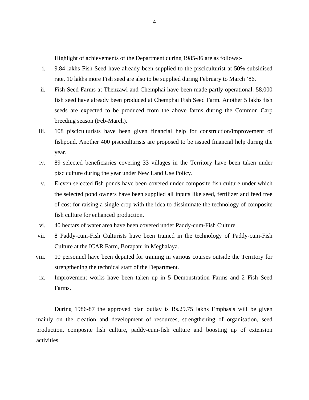Highlight of achievements of the Department during 1985-86 are as follows:-

- i. 9.84 lakhs Fish Seed have already been supplied to the pisciculturist at 50% subsidised rate. 10 lakhs more Fish seed are also to be supplied during February to March '86.
- ii. Fish Seed Farms at Thenzawl and Chemphai have been made partly operational. 58,000 fish seed have already been produced at Chemphai Fish Seed Farm. Another 5 lakhs fish seeds are expected to be produced from the above farms during the Common Carp breeding season (Feb-March).
- iii. 108 pisciculturists have been given financial help for construction/improvement of fishpond. Another 400 pisciculturists are proposed to be issued financial help during the year.
- iv. 89 selected beneficiaries covering 33 villages in the Territory have been taken under pisciculture during the year under New Land Use Policy.
- v. Eleven selected fish ponds have been covered under composite fish culture under which the selected pond owners have been supplied all inputs like seed, fertilizer and feed free of cost for raising a single crop with the idea to dissiminate the technology of composite fish culture for enhanced production.
- vi. 40 hectars of water area have been covered under Paddy-cum-Fish Culture.
- vii. 8 Paddy-cum-Fish Culturists have been trained in the technology of Paddy-cum-Fish Culture at the ICAR Farm, Borapani in Meghalaya.
- viii. 10 personnel have been deputed for training in various courses outside the Territory for strengthening the technical staff of the Department.
- ix. Improvement works have been taken up in 5 Demonstration Farms and 2 Fish Seed Farms.

During 1986-87 the approved plan outlay is Rs.29.75 lakhs Emphasis will be given mainly on the creation and development of resources, strengthening of organisation, seed production, composite fish culture, paddy-cum-fish culture and boosting up of extension activities.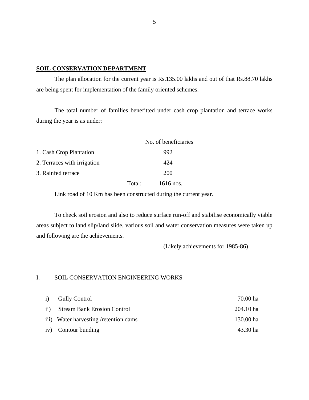#### **SOIL CONSERVATION DEPARTMENT**

 The plan allocation for the current year is Rs.135.00 lakhs and out of that Rs.88.70 lakhs are being spent for implementation of the family oriented schemes.

The total number of families benefitted under cash crop plantation and terrace works during the year is as under:

|                             |        | No. of beneficiaries |
|-----------------------------|--------|----------------------|
| 1. Cash Crop Plantation     |        | 992                  |
| 2. Terraces with irrigation |        | 424                  |
| 3. Rainfed terrace          |        | 200                  |
|                             | Total: | 1616 nos.            |

Link road of 10 Km has been constructed during the current year.

To check soil erosion and also to reduce surface run-off and stabilise economically viable areas subject to land slip/land slide, various soil and water conservation measures were taken up and following are the achievements.

(Likely achievements for 1985-86)

# I. SOIL CONSERVATION ENGINEERING WORKS

| i) Gully Control                       | 70.00 ha  |
|----------------------------------------|-----------|
| ii) Stream Bank Erosion Control        | 204.10 ha |
| iii) Water harvesting / retention dams | 130.00 ha |
| iv) Contour bunding                    | 43.30 ha  |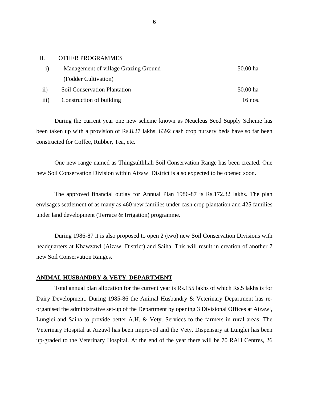# II. OTHER PROGRAMMES

|                  | Management of village Grazing Ground | 50.00 ha |
|------------------|--------------------------------------|----------|
|                  | (Fodder Cultivation)                 |          |
| $\rm ii)$        | <b>Soil Conservation Plantation</b>  | 50.00 ha |
| $\overline{iii}$ | Construction of building             | 16 nos.  |

 During the current year one new scheme known as Neucleus Seed Supply Scheme has been taken up with a provision of Rs.8.27 lakhs. 6392 cash crop nursery beds have so far been constructed for Coffee, Rubber, Tea, etc.

One new range named as Thingsulthliah Soil Conservation Range has been created. One new Soil Conservation Division within Aizawl District is also expected to be opened soon.

The approved financial outlay for Annual Plan 1986-87 is Rs.172.32 lakhs. The plan envisages settlement of as many as 460 new families under cash crop plantation and 425 families under land development (Terrace & Irrigation) programme.

During 1986-87 it is also proposed to open 2 (two) new Soil Conservation Divisions with headquarters at Khawzawl (Aizawl District) and Saiha. This will result in creation of another 7 new Soil Conservation Ranges.

#### **ANIMAL HUSBANDRY & VETY. DEPARTMENT**

 Total annual plan allocation for the current year is Rs.155 lakhs of which Rs.5 lakhs is for Dairy Development. During 1985-86 the Animal Husbandry & Veterinary Department has reorganised the administrative set-up of the Department by opening 3 Divisional Offices at Aizawl, Lunglei and Saiha to provide better A.H. & Vety. Services to the farmers in rural areas. The Veterinary Hospital at Aizawl has been improved and the Vety. Dispensary at Lunglei has been up-graded to the Veterinary Hospital. At the end of the year there will be 70 RAH Centres, 26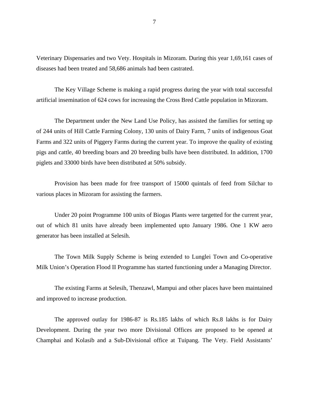Veterinary Dispensaries and two Vety. Hospitals in Mizoram. During this year 1,69,161 cases of diseases had been treated and 58,686 animals had been castrated.

The Key Village Scheme is making a rapid progress during the year with total successful artificial insemination of 624 cows for increasing the Cross Bred Cattle population in Mizoram.

The Department under the New Land Use Policy, has assisted the families for setting up of 244 units of Hill Cattle Farming Colony, 130 units of Dairy Farm, 7 units of indigenous Goat Farms and 322 units of Piggery Farms during the current year. To improve the quality of existing pigs and cattle, 40 breeding boars and 20 breeding bulls have been distributed. In addition, 1700 piglets and 33000 birds have been distributed at 50% subsidy.

Provision has been made for free transport of 15000 quintals of feed from Silchar to various places in Mizoram for assisting the farmers.

Under 20 point Programme 100 units of Biogas Plants were targetted for the current year, out of which 81 units have already been implemented upto January 1986. One 1 KW aero generator has been installed at Selesih.

The Town Milk Supply Scheme is being extended to Lunglei Town and Co-operative Milk Union's Operation Flood II Programme has started functioning under a Managing Director.

The existing Farms at Selesih, Thenzawl, Mampui and other places have been maintained and improved to increase production.

The approved outlay for 1986-87 is Rs.185 lakhs of which Rs.8 lakhs is for Dairy Development. During the year two more Divisional Offices are proposed to be opened at Champhai and Kolasib and a Sub-Divisional office at Tuipang. The Vety. Field Assistants'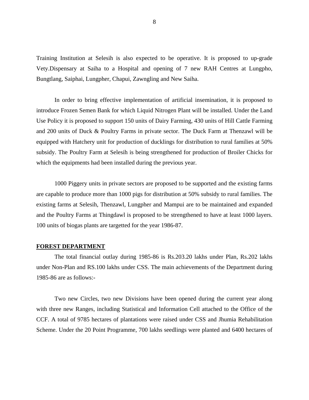Training Institution at Selesih is also expected to be operative. It is proposed to up-grade Vety.Dispensary at Saiha to a Hospital and opening of 7 new RAH Centres at Lungpho, Bungtlang, Saiphai, Lungpher, Chapui, Zawngling and New Saiha.

In order to bring effective implementation of artificial insemination, it is proposed to introduce Frozen Semen Bank for which Liquid Nitrogen Plant will be installed. Under the Land Use Policy it is proposed to support 150 units of Dairy Farming, 430 units of Hill Cattle Farming and 200 units of Duck & Poultry Farms in private sector. The Duck Farm at Thenzawl will be equipped with Hatchery unit for production of ducklings for distribution to rural families at 50% subsidy. The Poultry Farm at Selesih is being strengthened for production of Broiler Chicks for which the equipments had been installed during the previous year.

1000 Piggery units in private sectors are proposed to be supported and the existing farms are capable to produce more than 1000 pigs for distribution at 50% subsidy to rural families. The existing farms at Selesih, Thenzawl, Lungpher and Mampui are to be maintained and expanded and the Poultry Farms at Thingdawl is proposed to be strengthened to have at least 1000 layers. 100 units of biogas plants are targetted for the year 1986-87.

#### **FOREST DEPARTMENT**

The total financial outlay during 1985-86 is Rs.203.20 lakhs under Plan, Rs.202 lakhs under Non-Plan and RS.100 lakhs under CSS. The main achievements of the Department during 1985-86 are as follows:-

Two new Circles, two new Divisions have been opened during the current year along with three new Ranges, including Statistical and Information Cell attached to the Office of the CCF. A total of 9785 hectares of plantations were raised under CSS and Jhumia Rehabilitation Scheme. Under the 20 Point Programme, 700 lakhs seedlings were planted and 6400 hectares of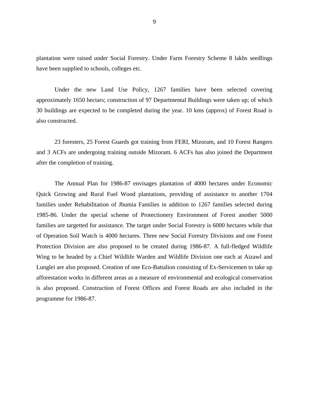plantation were raised under Social Forestry. Under Farm Forestry Scheme 8 lakhs seedlings have been supplied to schools, colleges etc.

Under the new Land Use Policy, 1267 families have been selected covering approximately 1650 hectars; construction of 97 Departmental Buildings were taken up; of which 30 buildings are expected to be completed during the year. 10 kms (approx) of Forest Road is also constructed.

23 foresters, 25 Forest Guards got training from FERI, Mizoram, and 10 Forest Rangers and 3 ACFs are undergoing training outside Mizoram. 6 ACFs has also joined the Department after the completion of training.

The Annual Plan for 1986-87 envisages plantation of 4000 hectares under Economic Quick Growing and Rural Fuel Wood plantations, providing of assistance to another 1704 families under Rehabilitation of Jhumia Families in addition to 1267 families selected during 1985-86. Under the special scheme of Protectionery Environment of Forest another 5000 families are targetted for assistance. The target under Social Forestry is 6000 hectares while that of Operation Soil Watch is 4000 hectares. Three new Social Forestry Divisions and one Forest Protection Division are also proposed to be created during 1986-87. A full-fledged Wildlife Wing to be headed by a Chief Wildlife Warden and Wildlife Division one each at Aizawl and Lunglei are also proposed. Creation of one Eco-Battalion consisting of Ex-Servicemen to take up afforestation works in different areas as a measure of environmental and ecological conservation is also proposed. Construction of Forest Offices and Forest Roads are also included in the programme for 1986-87.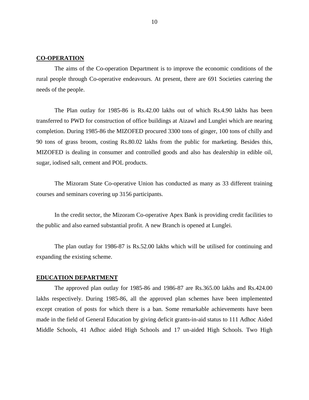# **CO-OPERATION**

 The aims of the Co-operation Department is to improve the economic conditions of the rural people through Co-operative endeavours. At present, there are 691 Societies catering the needs of the people.

The Plan outlay for 1985-86 is Rs.42.00 lakhs out of which Rs.4.90 lakhs has been transferred to PWD for construction of office buildings at Aizawl and Lunglei which are nearing completion. During 1985-86 the MIZOFED procured 3300 tons of ginger, 100 tons of chilly and 90 tons of grass broom, costing Rs.80.02 lakhs from the public for marketing. Besides this, MIZOFED is dealing in consumer and controlled goods and also has dealership in edible oil, sugar, iodised salt, cement and POL products.

The Mizoram State Co-operative Union has conducted as many as 33 different training courses and seminars covering up 3156 participants.

In the credit sector, the Mizoram Co-operative Apex Bank is providing credit facilities to the public and also earned substantial profit. A new Branch is opened at Lunglei.

The plan outlay for 1986-87 is Rs.52.00 lakhs which will be utilised for continuing and expanding the existing scheme.

#### **EDUCATION DEPARTMENT**

 The approved plan outlay for 1985-86 and 1986-87 are Rs.365.00 lakhs and Rs.424.00 lakhs respectively. During 1985-86, all the approved plan schemes have been implemented except creation of posts for which there is a ban. Some remarkable achievements have been made in the field of General Education by giving deficit grants-in-aid status to 111 Adhoc Aided Middle Schools, 41 Adhoc aided High Schools and 17 un-aided High Schools. Two High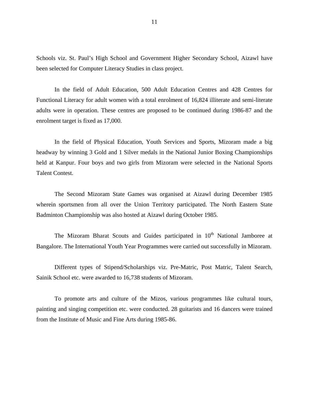Schools viz. St. Paul's High School and Government Higher Secondary School, Aizawl have been selected for Computer Literacy Studies in class project.

In the field of Adult Education, 500 Adult Education Centres and 428 Centres for Functional Literacy for adult women with a total enrolment of 16,824 illiterate and semi-literate adults were in operation. These centres are proposed to be continued during 1986-87 and the enrolment target is fixed as 17,000.

In the field of Physical Education, Youth Services and Sports, Mizoram made a big headway by winning 3 Gold and 1 Silver medals in the National Junior Boxing Championships held at Kanpur. Four boys and two girls from Mizoram were selected in the National Sports Talent Contest.

The Second Mizoram State Games was organised at Aizawl during December 1985 wherein sportsmen from all over the Union Territory participated. The North Eastern State Badminton Championship was also hosted at Aizawl during October 1985.

The Mizoram Bharat Scouts and Guides participated in  $10<sup>th</sup>$  National Jamboree at Bangalore. The International Youth Year Programmes were carried out successfully in Mizoram.

Different types of Stipend/Scholarships viz. Pre-Matric, Post Matric, Talent Search, Sainik School etc. were awarded to 16,738 students of Mizoram.

To promote arts and culture of the Mizos, various programmes like cultural tours, painting and singing competition etc. were conducted. 28 guitarists and 16 dancers were trained from the Institute of Music and Fine Arts during 1985-86.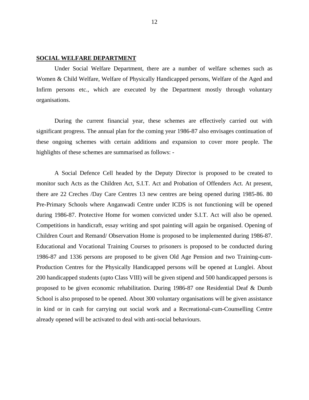# **SOCIAL WELFARE DEPARTMENT**

 Under Social Welfare Department, there are a number of welfare schemes such as Women & Child Welfare, Welfare of Physically Handicapped persons, Welfare of the Aged and Infirm persons etc., which are executed by the Department mostly through voluntary organisations.

During the current financial year, these schemes are effectively carried out with significant progress. The annual plan for the coming year 1986-87 also envisages continuation of these ongoing schemes with certain additions and expansion to cover more people. The highlights of these schemes are summarised as follows: -

A Social Defence Cell headed by the Deputy Director is proposed to be created to monitor such Acts as the Children Act, S.I.T. Act and Probation of Offenders Act. At present, there are 22 Creches /Day Care Centres 13 new centres are being opened during 1985-86. 80 Pre-Primary Schools where Anganwadi Centre under ICDS is not functioning will be opened during 1986-87. Protective Home for women convicted under S.I.T. Act will also be opened. Competitions in handicraft, essay writing and spot painting will again be organised. Opening of Children Court and Remand/ Observation Home is proposed to be implemented during 1986-87. Educational and Vocational Training Courses to prisoners is proposed to be conducted during 1986-87 and 1336 persons are proposed to be given Old Age Pension and two Training-cum-Production Centres for the Physically Handicapped persons will be opened at Lunglei. About 200 handicapped students (upto Class VIII) will be given stipend and 500 handicapped persons is proposed to be given economic rehabilitation. During 1986-87 one Residential Deaf & Dumb School is also proposed to be opened. About 300 voluntary organisations will be given assistance in kind or in cash for carrying out social work and a Recreational-cum-Counselling Centre already opened will be activated to deal with anti-social behaviours.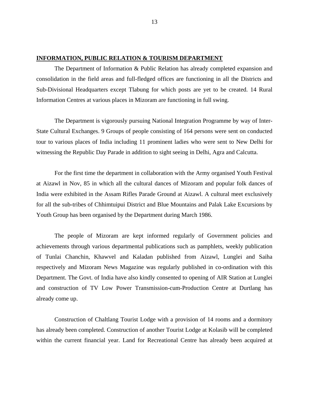# **INFORMATION, PUBLIC RELATION & TOURISM DEPARTMENT**

 The Department of Information & Public Relation has already completed expansion and consolidation in the field areas and full-fledged offices are functioning in all the Districts and Sub-Divisional Headquarters except Tlabung for which posts are yet to be created. 14 Rural Information Centres at various places in Mizoram are functioning in full swing.

The Department is vigorously pursuing National Integration Programme by way of Inter-State Cultural Exchanges. 9 Groups of people consisting of 164 persons were sent on conducted tour to various places of India including 11 prominent ladies who were sent to New Delhi for witnessing the Republic Day Parade in addition to sight seeing in Delhi, Agra and Calcutta.

For the first time the department in collaboration with the Army organised Youth Festival at Aizawl in Nov, 85 in which all the cultural dances of Mizoram and popular folk dances of India were exhibited in the Assam Rifles Parade Ground at Aizawl. A cultural meet exclusively for all the sub-tribes of Chhimtuipui District and Blue Mountains and Palak Lake Excursions by Youth Group has been organised by the Department during March 1986.

The people of Mizoram are kept informed regularly of Government policies and achievements through various departmental publications such as pamphlets, weekly publication of Tunlai Chanchin, Khawvel and Kaladan published from Aizawl, Lunglei and Saiha respectively and Mizoram News Magazine was regularly published in co-ordination with this Department. The Govt. of India have also kindly consented to opening of AIR Station at Lunglei and construction of TV Low Power Transmission-cum-Production Centre at Durtlang has already come up.

Construction of Chaltlang Tourist Lodge with a provision of 14 rooms and a dormitory has already been completed. Construction of another Tourist Lodge at Kolasib will be completed within the current financial year. Land for Recreational Centre has already been acquired at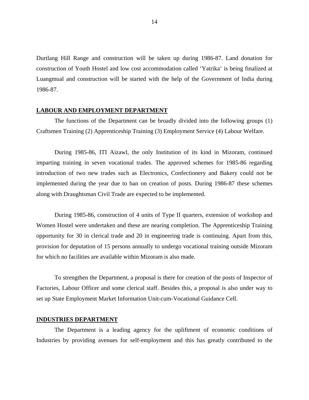Durtlang Hill Range and construction will be taken up during 1986-87. Land donation for construction of Youth Hostel and low cost accommodation called 'Yatrika' is being finalized at Luangmual and construction will be started with the help of the Government of India during 1986-87.

#### **LABOUR AND EMPLOYMENT DEPARTMENT**

 The functions of the Department can be broadly divided into the following groups (1) Craftsmen Training (2) Apprenticeship Training (3) Employment Service (4) Labour Welfare.

During 1985-86, ITI Aizawl, the only Institution of its kind in Mizoram, continued imparting training in seven vocational trades. The approved schemes for 1985-86 regarding introduction of two new trades such as Electronics, Confectionery and Bakery could not be implemented during the year due to ban on creation of posts. During 1986-87 these schemes along with Draughtsman Civil Trade are expected to be implemented.

During 1985-86, construction of 4 units of Type II quarters, extension of workshop and Women Hostel were undertaken and these are nearing completion. The Apprenticeship Training opportunity for 30 in clerical trade and 20 in engineering trade is continuing. Apart from this, provision for deputation of 15 persons annually to undergo vocational training outside Mizoram for which no facilities are available within Mizoram is also made.

To strengthen the Department, a proposal is there for creation of the posts of Inspector of Factories, Labour Officer and some clerical staff. Besides this, a proposal is also under way to set up State Employment Market Information Unit-cum-Vocational Guidance Cell.

#### **INDUSTRIES DEPARTMENT**

 The Department is a leading agency for the upliftment of economic conditions of Industries by providing avenues for self-employment and this has greatly contributed to the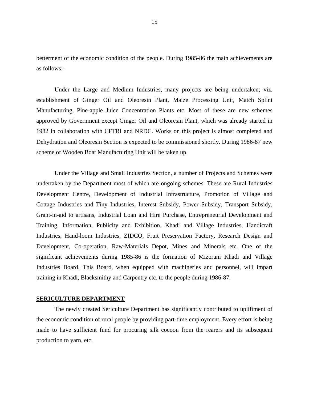betterment of the economic condition of the people. During 1985-86 the main achievements are as follows:-

Under the Large and Medium Industries, many projects are being undertaken; viz. establishment of Ginger Oil and Oleoresin Plant, Maize Processing Unit, Match Splint Manufacturing, Pine-apple Juice Concentration Plants etc. Most of these are new schemes approved by Government except Ginger Oil and Oleoresin Plant, which was already started in 1982 in collaboration with CFTRI and NRDC. Works on this project is almost completed and Dehydration and Oleoresin Section is expected to be commissioned shortly. During 1986-87 new scheme of Wooden Boat Manufacturing Unit will be taken up.

Under the Village and Small Industries Section, a number of Projects and Schemes were undertaken by the Department most of which are ongoing schemes. These are Rural Industries Development Centre, Development of Industrial Infrastructure, Promotion of Village and Cottage Industries and Tiny Industries, Interest Subsidy, Power Subsidy, Transport Subsidy, Grant-in-aid to artisans, Industrial Loan and Hire Purchase, Entrepreneurial Development and Training, Information, Publicity and Exhibition, Khadi and Village Industries, Handicraft Industries, Hand-loom Industries, ZIDCO, Fruit Preservation Factory, Research Design and Development, Co-operation, Raw-Materials Depot, Mines and Minerals etc. One of the significant achievements during 1985-86 is the formation of Mizoram Khadi and Village Industries Board. This Board, when equipped with machineries and personnel, will impart training in Khadi, Blacksmithy and Carpentry etc. to the people during 1986-87.

#### **SERICULTURE DEPARTMENT**

 The newly created Sericulture Department has significantly contributed to upliftment of the economic condition of rural people by providing part-time employment. Every effort is being made to have sufficient fund for procuring silk cocoon from the rearers and its subsequent production to yarn, etc.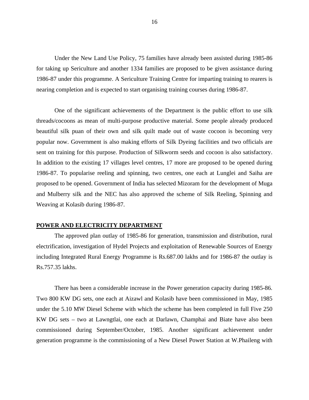Under the New Land Use Policy, 75 families have already been assisted during 1985-86 for taking up Sericulture and another 1334 families are proposed to be given assistance during 1986-87 under this programme. A Sericulture Training Centre for imparting training to rearers is nearing completion and is expected to start organising training courses during 1986-87.

One of the significant achievements of the Department is the public effort to use silk threads/cocoons as mean of multi-purpose productive material. Some people already produced beautiful silk puan of their own and silk quilt made out of waste cocoon is becoming very popular now. Government is also making efforts of Silk Dyeing facilities and two officials are sent on training for this purpose. Production of Silkworm seeds and cocoon is also satisfactory. In addition to the existing 17 villages level centres, 17 more are proposed to be opened during 1986-87. To popularise reeling and spinning, two centres, one each at Lunglei and Saiha are proposed to be opened. Government of India has selected Mizoram for the development of Muga and Mulberry silk and the NEC has also approved the scheme of Silk Reeling, Spinning and Weaving at Kolasib during 1986-87.

#### **POWER AND ELECTRICITY DEPARTMENT**

 The approved plan outlay of 1985-86 for generation, transmission and distribution, rural electrification, investigation of Hydel Projects and exploitation of Renewable Sources of Energy including Integrated Rural Energy Programme is Rs.687.00 lakhs and for 1986-87 the outlay is Rs.757.35 lakhs.

There has been a considerable increase in the Power generation capacity during 1985-86. Two 800 KW DG sets, one each at Aizawl and Kolasib have been commissioned in May, 1985 under the 5.10 MW Diesel Scheme with which the scheme has been completed in full Five 250 KW DG sets – two at Lawngtlai, one each at Darlawn, Champhai and Biate have also been commissioned during September/October, 1985. Another significant achievement under generation programme is the commissioning of a New Diesel Power Station at W.Phaileng with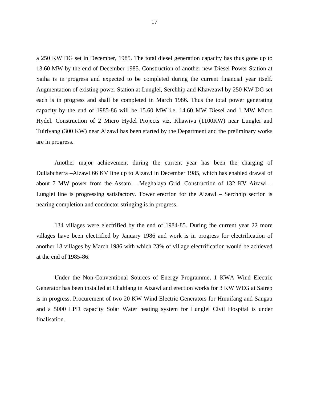a 250 KW DG set in December, 1985. The total diesel generation capacity has thus gone up to 13.60 MW by the end of December 1985. Construction of another new Diesel Power Station at Saiha is in progress and expected to be completed during the current financial year itself. Augmentation of existing power Station at Lunglei, Serchhip and Khawzawl by 250 KW DG set each is in progress and shall be completed in March 1986. Thus the total power generating capacity by the end of 1985-86 will be 15.60 MW i.e. 14.60 MW Diesel and 1 MW Micro Hydel. Construction of 2 Micro Hydel Projects viz. Khawiva (1100KW) near Lunglei and Tuirivang (300 KW) near Aizawl has been started by the Department and the preliminary works are in progress.

Another major achievement during the current year has been the charging of Dullabcherra –Aizawl 66 KV line up to Aizawl in December 1985, which has enabled drawal of about 7 MW power from the Assam – Meghalaya Grid. Construction of 132 KV Aizawl – Lunglei line is progressing satisfactory. Tower erection for the Aizawl – Serchhip section is nearing completion and conductor stringing is in progress.

134 villages were electrified by the end of 1984-85. During the current year 22 more villages have been electrified by January 1986 and work is in progress for electrification of another 18 villages by March 1986 with which 23% of village electrification would be achieved at the end of 1985-86.

Under the Non-Conventional Sources of Energy Programme, 1 KWA Wind Electric Generator has been installed at Chaltlang in Aizawl and erection works for 3 KW WEG at Sairep is in progress. Procurement of two 20 KW Wind Electric Generators for Hmuifang and Sangau and a 5000 LPD capacity Solar Water heating system for Lunglei Civil Hospital is under finalisation.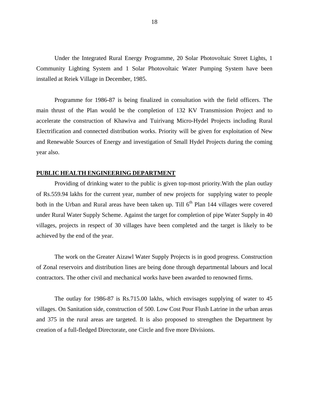Under the Integrated Rural Energy Programme, 20 Solar Photovoltaic Street Lights, 1 Community Lighting System and 1 Solar Photovoltaic Water Pumping System have been installed at Reiek Village in December, 1985.

Programme for 1986-87 is being finalized in consultation with the field officers. The main thrust of the Plan would be the completion of 132 KV Transmission Project and to accelerate the construction of Khawiva and Tuirivang Micro-Hydel Projects including Rural Electrification and connected distribution works. Priority will be given for exploitation of New and Renewable Sources of Energy and investigation of Small Hydel Projects during the coming year also.

#### **PUBLIC HEALTH ENGINEERING DEPARTMENT**

Providing of drinking water to the public is given top-most priority.With the plan outlay of Rs.559.94 lakhs for the current year, number of new projects for supplying water to people both in the Urban and Rural areas have been taken up. Till  $6<sup>th</sup>$  Plan 144 villages were covered under Rural Water Supply Scheme. Against the target for completion of pipe Water Supply in 40 villages, projects in respect of 30 villages have been completed and the target is likely to be achieved by the end of the year.

The work on the Greater Aizawl Water Supply Projects is in good progress. Construction of Zonal reservoirs and distribution lines are being done through departmental labours and local contractors. The other civil and mechanical works have been awarded to renowned firms.

The outlay for 1986-87 is Rs.715.00 lakhs, which envisages supplying of water to 45 villages. On Sanitation side, construction of 500. Low Cost Pour Flush Latrine in the urban areas and 375 in the rural areas are targeted. It is also proposed to strengthen the Department by creation of a full-fledged Directorate, one Circle and five more Divisions.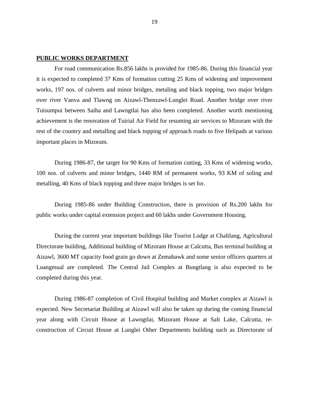#### **PUBLIC WORKS DEPARTMENT**

 For road communication Rs.856 lakhs is provided for 1985-86. During this financial year it is expected to completed 37 Kms of formation cutting 25 Kms of widening and improvement works, 197 nos. of culverts and minor bridges, metaling and black topping, two major bridges over river Vanva and Tlawng on Aizawl-Thenzawl-Lunglei Road. Another bridge over river Tuisumpui between Saiha and Lawngtlai has also been completed. Another worth mentioning achievement is the renovation of Tuirial Air Field for resuming air services to Mizoram with the rest of the country and metalling and black topping of approach roads to five Helipads at various important places in Mizoram.

During 1986-87, the target for 90 Kms of formation cutting, 33 Kms of widening works, 100 nos. of culverts and minor bridges, 1440 RM of permanent works, 93 KM of soling and metalling, 40 Kms of black topping and three major bridges is set for.

During 1985-86 under Building Construction, there is provision of Rs.200 lakhs for public works under capital extension project and 60 lakhs under Government Housing.

During the current year important buildings like Tourist Lodge at Chaltlang, Agricultural Directorate building, Additional building of Mizoram House at Calcutta, Bus terminal building at Aizawl, 3600 MT capacity food grain go down at Zemabawk and some senior officers quarters at Luangmual are completed. The Central Jail Complex at Bungtlang is also expected to be completed during this year.

During 1986-87 completion of Civil Hospital building and Market complex at Aizawl is expected. New Secretariat Building at Aizawl will also be taken up during the coming financial year along with Circuit House at Lawngtlai, Mizoram House at Salt Lake, Calcutta, reconstruction of Circuit House at Lunglei Other Departments building such as Directorate of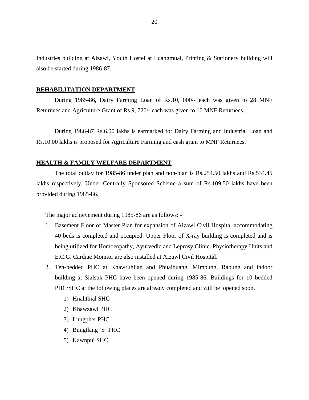Industries building at Aizawl, Youth Hostel at Luangmual, Printing & Stationery building will also be started during 1986-87.

#### **REHABILITATION DEPARTMENT**

 During 1985-86, Dairy Farming Loan of Rs.10, 000/- each was given to 28 MNF Returnees and Agriculture Grant of Rs.9, 720/- each was given to 10 MNF Returnees.

During 1986-87 Rs.6.00 lakhs is earmarked for Dairy Farming and Industrial Loan and Rs.10.00 lakhs is proposed for Agriculture Farming and cash grant to MNF Returnees.

#### **HEALTH & FAMILY WELFARE DEPARTMENT**

 The total outlay for 1985-86 under plan and non-plan is Rs.254.50 lakhs and Rs.534.45 lakhs respectively. Under Centrally Sponsored Scheme a sum of Rs.109.50 lakhs have been provided during 1985-86.

The major achievement during 1985-86 are as follows: -

- 1. Basement Floor of Master Plan for expansion of Aizawl Civil Hospital accommodating 40 beds is completed and occupied. Upper Floor of X-ray building is completed and is being utilized for Homoeopathy, Ayurvedic and Leprosy Clinic. Physiotherapy Units and E.C.G. Cardiac Monitor are also installed at Aizawl Civil Hospital.
- 2. Ten-bedded PHC at Khawruhlian and Phuaibuang, Mimbung, Rabung and indoor building at Sialsuk PHC have been opened during 1985-86. Buildings for 10 bedded PHC/SHC at the following places are already completed and will be opened soon.
	- 1) Hnahthial SHC
	- 2) Khawzawl PHC
	- 3) Lungpher PHC
	- 4) Bungtlang 'S' PHC
	- 5) Kawnpui SHC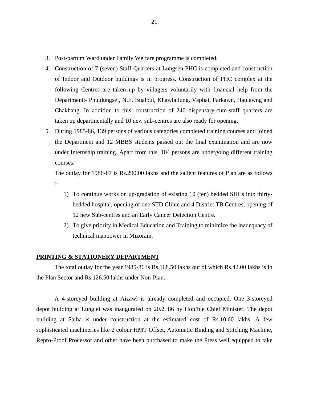- 3. Post-partum Ward under Family Welfare programme is completed.
- 4. Construction of 7 (seven) Staff Quarters at Lungsen PHC is completed and construction of Indoor and Outdoor buildings is in progress. Construction of PHC complex at the following Centres are taken up by villagers voluntarily with financial help from the Department:- Phuldungsei, N.E. Bualpui, Khawlailung, Vaphai, Farkawn, Haulawng and Chakhang. In addition to this, construction of 240 dispensary-cum-staff quarters are taken up departmentally and 10 new sub-centres are also ready for opening.
- 5. During 1985-86, 139 persons of various categories completed training courses and joined the Department and 12 MBBS students passed out the final examination and are now under Internship training. Apart from this, 104 persons are undergoing different training courses.

The outlay for 1986-87 is Rs.290.00 lakhs and the salient features of Plan are as follows :-

- 1) To continue works on up-gradation of existing 10 (ten) bedded SHCs into thirtybedded hospital, opening of one STD Clinic and 4 District TB Centres, opening of 12 new Sub-centres and an Early Cancer Detection Centre.
- 2) To give priority in Medical Education and Training to minimize the inadequacy of technical manpower in Mizoram.

## **PRINTING & STATIONERY DEPARTMENT**

 The total outlay for the year 1985-86 is Rs.168.50 lakhs out of which Rs.42.00 lakhs is in the Plan Sector and Rs.126.50 lakhs under Non-Plan.

A 4-storeyed building at Aizawl is already completed and occupied. One 3-storeyed depot building at Lunglei was inaugurated on 20.2.'86 by Hon'ble Chief Minister. The depot building at Saiha is under construction at the estimated cost of Rs.10.60 lakhs. A few sophisticated machineries like 2 colour HMT Offset, Automatic Binding and Stitching Machine, Repro-Proof Processor and other have been purchased to make the Press well equipped to take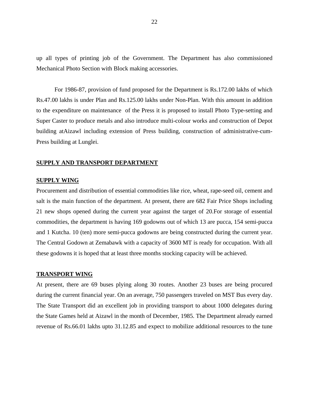up all types of printing job of the Government. The Department has also commissioned Mechanical Photo Section with Block making accessories.

For 1986-87, provision of fund proposed for the Department is Rs.172.00 lakhs of which Rs.47.00 lakhs is under Plan and Rs.125.00 lakhs under Non-Plan. With this amount in addition to the expenditure on maintenance of the Press it is proposed to install Photo Type-setting and Super Caster to produce metals and also introduce multi-colour works and construction of Depot building atAizawl including extension of Press building, construction of administrative-cum-Press building at Lunglei.

#### **SUPPLY AND TRANSPORT DEPARTMENT**

#### **SUPPLY WING**

Procurement and distribution of essential commodities like rice, wheat, rape-seed oil, cement and salt is the main function of the department. At present, there are 682 Fair Price Shops including 21 new shops opened during the current year against the target of 20.For storage of essential commodities, the department is having 169 godowns out of which 13 are pucca, 154 semi-pucca and 1 Kutcha. 10 (ten) more semi-pucca godowns are being constructed during the current year. The Central Godown at Zemabawk with a capacity of 3600 MT is ready for occupation. With all these godowns it is hoped that at least three months stocking capacity will be achieved.

#### **TRANSPORT WING**

At present, there are 69 buses plying along 30 routes. Another 23 buses are being procured during the current financial year. On an average, 750 passengers traveled on MST Bus every day. The State Transport did an excellent job in providing transport to about 1000 delegates during the State Games held at Aizawl in the month of December, 1985. The Department already earned revenue of Rs.66.01 lakhs upto 31.12.85 and expect to mobilize additional resources to the tune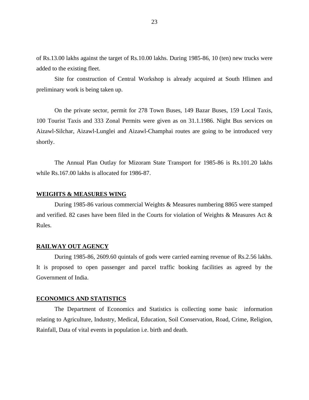of Rs.13.00 lakhs against the target of Rs.10.00 lakhs. During 1985-86, 10 (ten) new trucks were added to the existing fleet.

 Site for construction of Central Workshop is already acquired at South Hlimen and preliminary work is being taken up.

On the private sector, permit for 278 Town Buses, 149 Bazar Buses, 159 Local Taxis, 100 Tourist Taxis and 333 Zonal Permits were given as on 31.1.1986. Night Bus services on Aizawl-Silchar, Aizawl-Lunglei and Aizawl-Champhai routes are going to be introduced very shortly.

The Annual Plan Outlay for Mizoram State Transport for 1985-86 is Rs.101.20 lakhs while Rs.167.00 lakhs is allocated for 1986-87.

# **WEIGHTS & MEASURES WING**

During 1985-86 various commercial Weights & Measures numbering 8865 were stamped and verified. 82 cases have been filed in the Courts for violation of Weights & Measures Act & Rules.

#### **RAILWAY OUT AGENCY**

During 1985-86, 2609.60 quintals of gods were carried earning revenue of Rs.2.56 lakhs. It is proposed to open passenger and parcel traffic booking facilities as agreed by the Government of India.

#### **ECONOMICS AND STATISTICS**

 The Department of Economics and Statistics is collecting some basic information relating to Agriculture, Industry, Medical, Education, Soil Conservation, Road, Crime, Religion, Rainfall, Data of vital events in population i.e. birth and death.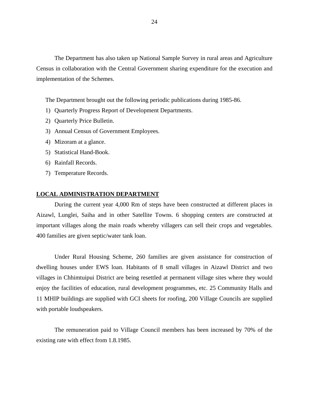The Department has also taken up National Sample Survey in rural areas and Agriculture Census in collaboration with the Central Government sharing expenditure for the execution and implementation of the Schemes.

The Department brought out the following periodic publications during 1985-86.

- 1) Quarterly Progress Report of Development Departments.
- 2) Quarterly Price Bulletin.
- 3) Annual Census of Government Employees.
- 4) Mizoram at a glance.
- 5) Statistical Hand-Book.
- 6) Rainfall Records.
- 7) Temperature Records.

# **LOCAL ADMINISTRATION DEPARTMENT**

 During the current year 4,000 Rm of steps have been constructed at different places in Aizawl, Lunglei, Saiha and in other Satellite Towns. 6 shopping centers are constructed at important villages along the main roads whereby villagers can sell their crops and vegetables. 400 families are given septic/water tank loan.

Under Rural Housing Scheme, 260 families are given assistance for construction of dwelling houses under EWS loan. Habitants of 8 small villages in Aizawl District and two villages in Chhimtuipui District are being resettled at permanent village sites where they would enjoy the facilities of education, rural development programmes, etc. 25 Community Halls and 11 MHIP buildings are supplied with GCI sheets for roofing, 200 Village Councils are supplied with portable loudspeakers.

The remuneration paid to Village Council members has been increased by 70% of the existing rate with effect from 1.8.1985.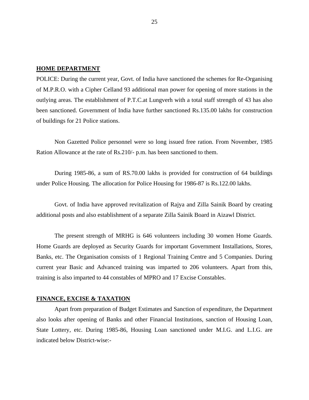#### **HOME DEPARTMENT**

POLICE: During the current year, Govt. of India have sanctioned the schemes for Re-Organising of M.P.R.O. with a Cipher Celland 93 additional man power for opening of more stations in the outlying areas. The establishment of P.T.C.at Lungverh with a total staff strength of 43 has also been sanctioned. Government of India have further sanctioned Rs.135.00 lakhs for construction of buildings for 21 Police stations.

Non Gazetted Police personnel were so long issued free ration. From November, 1985 Ration Allowance at the rate of Rs.210/- p.m. has been sanctioned to them.

During 1985-86, a sum of RS.70.00 lakhs is provided for construction of 64 buildings under Police Housing. The allocation for Police Housing for 1986-87 is Rs.122.00 lakhs.

Govt. of India have approved revitalization of Rajya and Zilla Sainik Board by creating additional posts and also establishment of a separate Zilla Sainik Board in Aizawl District.

The present strength of MRHG is 646 volunteers including 30 women Home Guards. Home Guards are deployed as Security Guards for important Government Installations, Stores, Banks, etc. The Organisation consists of 1 Regional Training Centre and 5 Companies. During current year Basic and Advanced training was imparted to 206 volunteers. Apart from this, training is also imparted to 44 constables of MPRO and 17 Excise Constables.

#### **FINANCE, EXCISE & TAXATION**

 Apart from preparation of Budget Estimates and Sanction of expenditure, the Department also looks after opening of Banks and other Financial Institutions, sanction of Housing Loan, State Lottery, etc. During 1985-86, Housing Loan sanctioned under M.I.G. and L.I.G. are indicated below District-wise:-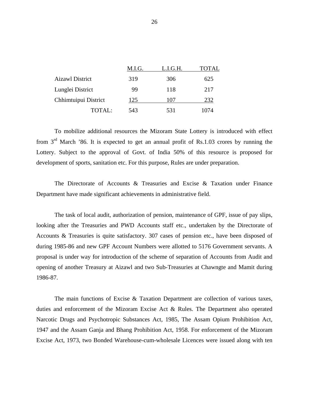|                        | M.I.G. | L.I.G.H. | TOTAL |
|------------------------|--------|----------|-------|
| <b>Aizawl District</b> | 319    | 306      | 625   |
| Lunglei District       | 99     | 118      | 217   |
| Chhimtuipui District   | 125    | 107      | 232   |
| TOTAL:                 | 543    | 531      | 1074  |

To mobilize additional resources the Mizoram State Lottery is introduced with effect from 3<sup>rd</sup> March '86. It is expected to get an annual profit of Rs.1.03 crores by running the Lottery. Subject to the approval of Govt. of India 50% of this resource is proposed for development of sports, sanitation etc. For this purpose, Rules are under preparation.

The Directorate of Accounts & Treasuries and Excise & Taxation under Finance Department have made significant achievements in administrative field.

The task of local audit, authorization of pension, maintenance of GPF, issue of pay slips, looking after the Treasuries and PWD Accounts staff etc., undertaken by the Directorate of Accounts & Treasuries is quite satisfactory. 307 cases of pension etc., have been disposed of during 1985-86 and new GPF Account Numbers were allotted to 5176 Government servants. A proposal is under way for introduction of the scheme of separation of Accounts from Audit and opening of another Treasury at Aizawl and two Sub-Treasuries at Chawngte and Mamit during 1986-87.

The main functions of Excise & Taxation Department are collection of various taxes, duties and enforcement of the Mizoram Excise Act & Rules. The Department also operated Narcotic Drugs and Psychotropic Substances Act, 1985, The Assam Opium Prohibition Act, 1947 and the Assam Ganja and Bhang Prohibition Act, 1958. For enforcement of the Mizoram Excise Act, 1973, two Bonded Warehouse-cum-wholesale Licences were issued along with ten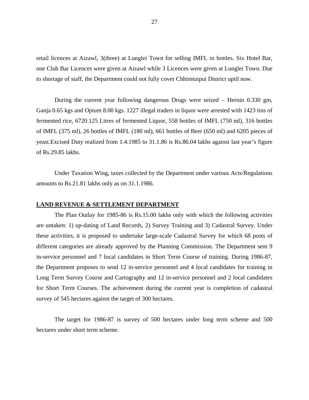retail licences at Aizawl, 3(three) at Lunglei Town for selling IMFL in bottles. Six Hotel Bar, one Club Bar Licences were given at Aizawl while 3 Licences were given at Lunglei Town. Due to shortage of staff, the Department could not fully cover Chhimtuipui District uptil now.

During the current year following dangerous Drugs were seized – Heroin 0.330 gm, Ganja 0.65 kgs and Opium 8.00 kgs. 1227 illegal traders in liquor were arrested with 1423 tins of fermented rice, 6720.125 Litres of fermented Liquor, 558 bottles of IMFL (750 ml), 316 bottles of IMFL (375 ml), 26 bottles of IMFL (180 ml), 661 bottles of Beer (650 ml) and 6205 pieces of yeast.Excised Duty realized from 1.4.1985 to 31.1.86 is Rs.86.04 lakhs against last year's figure of Rs.29.85 lakhs.

Under Taxation Wing, taxes collected by the Department under various Acts/Regulations amounts to Rs.21.81 lakhs only as on 31.1.1986.

#### **LAND REVENUE & SETTLEMENT DEPARTMENT**

 The Plan Outlay for 1985-86 is Rs.15.00 lakhs only with which the following activities are untaken: 1) up-dating of Land Records, 2) Survey Training and 3) Cadastral Survey. Under these activities, it is proposed to undertake large-scale Cadastral Survey for which 68 posts of different categories are already approved by the Planning Commission. The Department sent 9 in-service personnel and 7 local candidates in Short Term Course of training. During 1986-87, the Department proposes to send 12 in-service personnel and 4 local candidates for training in Long Term Survey Course and Cartography and 12 in-service personnel and 2 local candidates for Short Term Courses. The achievement during the current year is completion of cadastral survey of 545 hectares against the target of 300 hectares.

The target for 1986-87 is survey of 500 hectares under long term scheme and 500 hectares under short term scheme.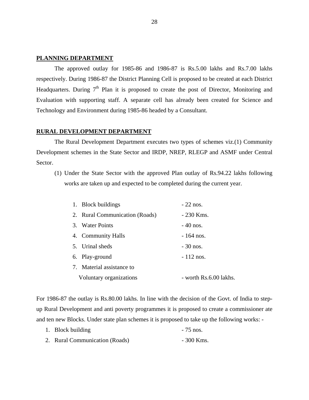# **PLANNING DEPARTMENT**

 The approved outlay for 1985-86 and 1986-87 is Rs.5.00 lakhs and Rs.7.00 lakhs respectively. During 1986-87 the District Planning Cell is proposed to be created at each District Headquarters. During  $7<sup>th</sup>$  Plan it is proposed to create the post of Director, Monitoring and Evaluation with supporting staff. A separate cell has already been created for Science and Technology and Environment during 1985-86 headed by a Consultant.

# **RURAL DEVELOPMENT DEPARTMENT**

 The Rural Development Department executes two types of schemes viz.(1) Community Development schemes in the State Sector and IRDP, NREP, RLEGP and ASMF under Central Sector.

(1) Under the State Sector with the approved Plan outlay of Rs.94.22 lakhs following works are taken up and expected to be completed during the current year.

| 1. Block buildings             | $-22$ nos.             |
|--------------------------------|------------------------|
| 2. Rural Communication (Roads) | $-230$ Kms.            |
| 3. Water Points                | $-40$ nos.             |
| 4. Community Halls             | $-164$ nos.            |
| 5. Urinal sheds                | $-30$ nos.             |
| 6. Play-ground                 | $-112$ nos.            |
| 7. Material assistance to      |                        |
| Voluntary organizations        | - worth Rs.6.00 lakhs. |

For 1986-87 the outlay is Rs.80.00 lakhs. In line with the decision of the Govt. of India to stepup Rural Development and anti poverty programmes it is proposed to create a commissioner ate and ten new Blocks. Under state plan schemes it is proposed to take up the following works: -

- 1. Block building  $-75$  nos.
- 2. Rural Communication (Roads) 300 Kms.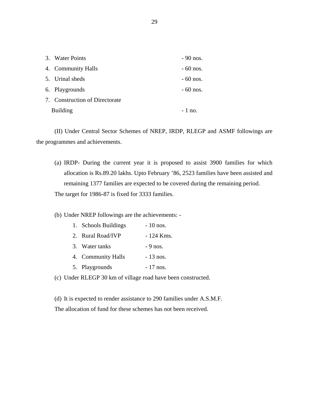| 3. Water Points                | $-90$ nos. |
|--------------------------------|------------|
| 4. Community Halls             | $-60$ nos. |
| 5. Urinal sheds                | $-60$ nos. |
| 6. Playgrounds                 | $-60$ nos. |
| 7. Construction of Directorate |            |
| <b>Building</b>                | $-1$ no.   |
|                                |            |

 (II) Under Central Sector Schemes of NREP, IRDP, RLEGP and ASMF followings are the programmes and achievements.

(a) IRDP- During the current year it is proposed to assist 3900 families for which allocation is Rs.89.20 lakhs. Upto February '86, 2523 families have been assisted and remaining 1377 families are expected to be covered during the remaining period. The target for 1986-87 is fixed for 3333 families.

(b) Under NREP followings are the achievements: -

| 1. Schools Buildings | $-10$ nos. |
|----------------------|------------|
| 2. Rural Road/IVP    | - 124 Kms. |
| 3. Water tanks       | $-9$ nos.  |
| 4. Community Halls   | $-13$ nos. |
| 5. Playgrounds       | $-17$ nos. |

(c) Under RLEGP 30 km of village road have been constructed.

(d) It is expected to render assistance to 290 families under A.S.M.F. The allocation of fund for these schemes has not been received.

29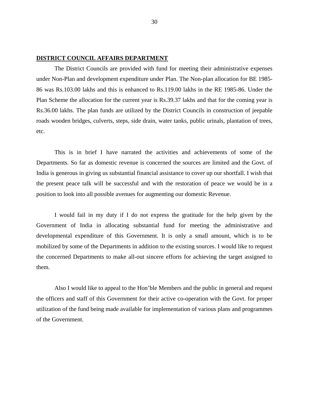## **DISTRICT COUNCIL AFFAIRS DEPARTMENT**

The District Councils are provided with fund for meeting their administrative expenses under Non-Plan and development expenditure under Plan. The Non-plan allocation for BE 1985- 86 was Rs.103.00 lakhs and this is enhanced to Rs.119.00 lakhs in the RE 1985-86. Under the Plan Scheme the allocation for the current year is Rs.39.37 lakhs and that for the coming year is Rs.36.00 lakhs. The plan funds are utilized by the District Councils in construction of jeepable roads wooden bridges, culverts, steps, side drain, water tanks, public urinals, plantation of trees, etc.

This is in brief I have narrated the activities and achievements of some of the Departments. So far as domestic revenue is concerned the sources are limited and the Govt. of India is generous in giving us substantial financial assistance to cover up our shortfall. I wish that the present peace talk will be successful and with the restoration of peace we would be in a position to look into all possible avenues for augmenting our domestic Revenue.

I would fail in my duty if I do not express the gratitude for the help given by the Government of India in allocating substantial fund for meeting the administrative and developmental expenditure of this Government. It is only a small amount, which is to be mobilized by some of the Departments in addition to the existing sources. I would like to request the concerned Departments to make all-out sincere efforts for achieving the target assigned to them.

Also I would like to appeal to the Hon'ble Members and the public in general and request the officers and staff of this Government for their active co-operation with the Govt. for proper utilization of the fund being made available for implementation of various plans and programmes of the Government.